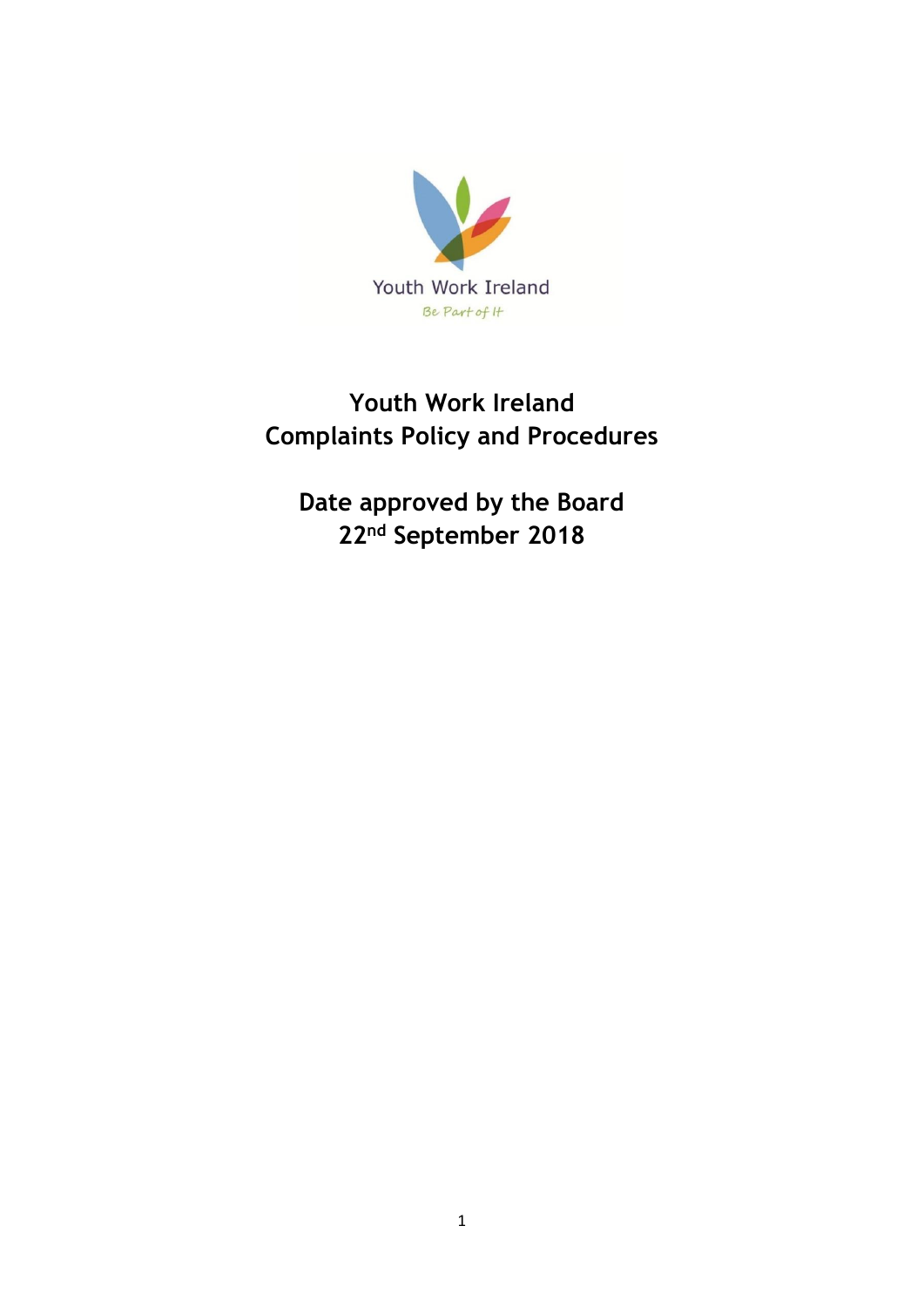

# **Youth Work Ireland Complaints Policy and Procedures**

**Date approved by the Board 22nd September 2018**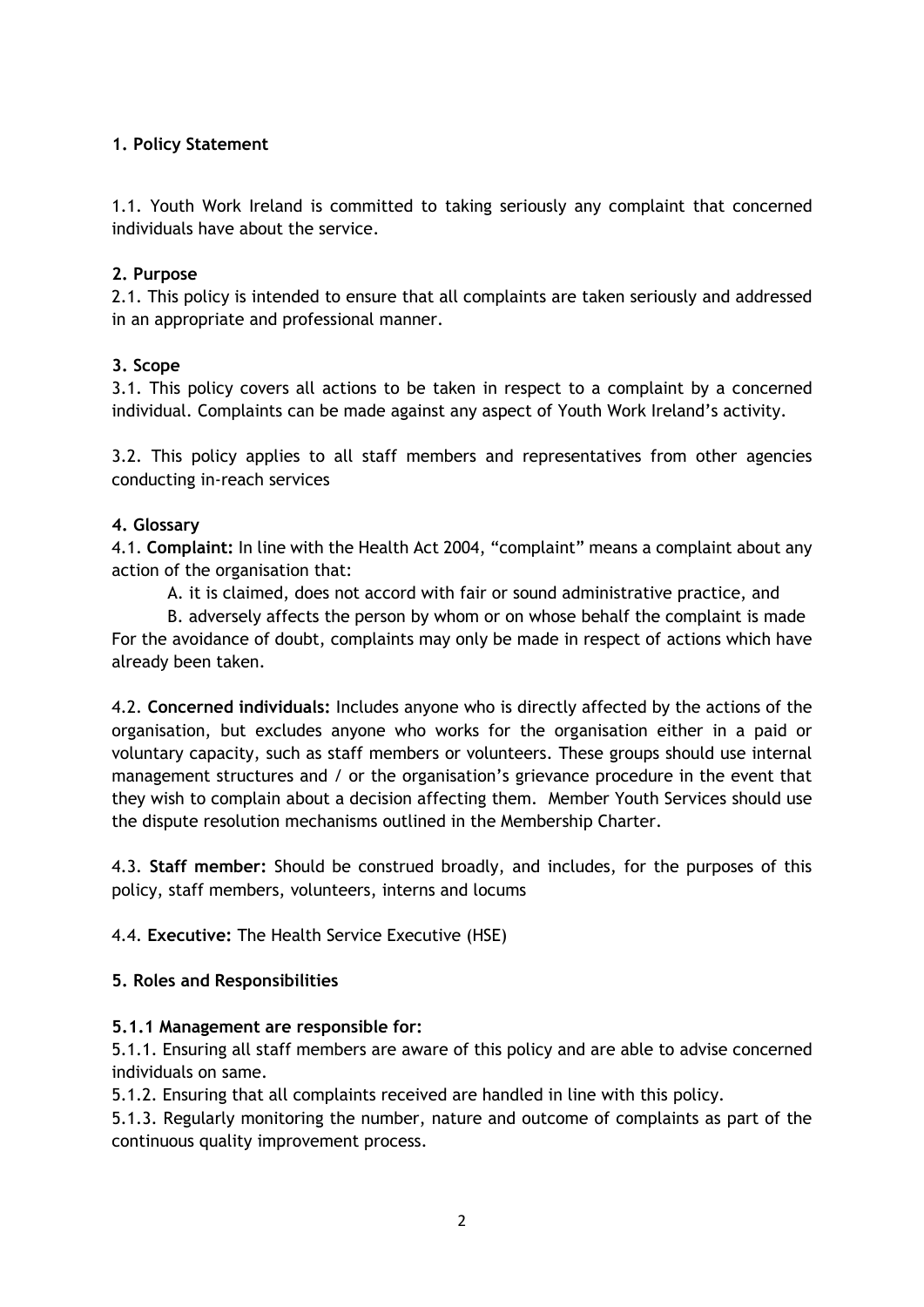# **1. Policy Statement**

1.1. Youth Work Ireland is committed to taking seriously any complaint that concerned individuals have about the service.

# **2. Purpose**

2.1. This policy is intended to ensure that all complaints are taken seriously and addressed in an appropriate and professional manner.

# **3. Scope**

3.1. This policy covers all actions to be taken in respect to a complaint by a concerned individual. Complaints can be made against any aspect of Youth Work Ireland's activity.

3.2. This policy applies to all staff members and representatives from other agencies conducting in-reach services

# **4. Glossary**

4.1. **Complaint:** In line with the Health Act 2004, "complaint" means a complaint about any action of the organisation that:

A. it is claimed, does not accord with fair or sound administrative practice, and

B. adversely affects the person by whom or on whose behalf the complaint is made For the avoidance of doubt, complaints may only be made in respect of actions which have already been taken.

4.2. **Concerned individuals:** Includes anyone who is directly affected by the actions of the organisation, but excludes anyone who works for the organisation either in a paid or voluntary capacity, such as staff members or volunteers. These groups should use internal management structures and / or the organisation's grievance procedure in the event that they wish to complain about a decision affecting them. Member Youth Services should use the dispute resolution mechanisms outlined in the Membership Charter.

4.3. **Staff member:** Should be construed broadly, and includes, for the purposes of this policy, staff members, volunteers, interns and locums

4.4. **Executive:** The Health Service Executive (HSE)

# **5. Roles and Responsibilities**

# **5.1.1 Management are responsible for:**

5.1.1. Ensuring all staff members are aware of this policy and are able to advise concerned individuals on same.

5.1.2. Ensuring that all complaints received are handled in line with this policy.

5.1.3. Regularly monitoring the number, nature and outcome of complaints as part of the continuous quality improvement process.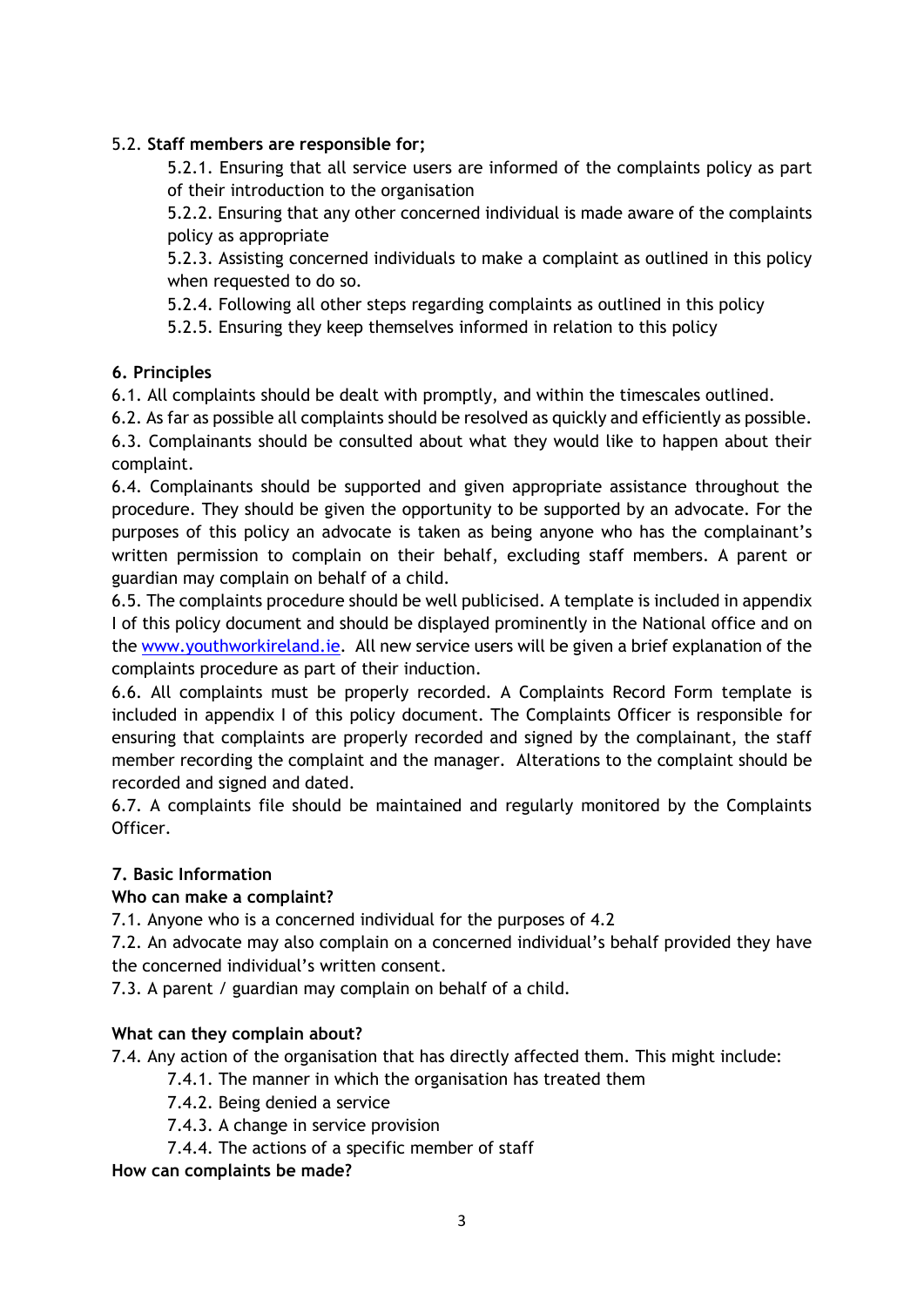# 5.2. **Staff members are responsible for;**

5.2.1. Ensuring that all service users are informed of the complaints policy as part of their introduction to the organisation

5.2.2. Ensuring that any other concerned individual is made aware of the complaints policy as appropriate

5.2.3. Assisting concerned individuals to make a complaint as outlined in this policy when requested to do so.

5.2.4. Following all other steps regarding complaints as outlined in this policy

5.2.5. Ensuring they keep themselves informed in relation to this policy

# **6. Principles**

6.1. All complaints should be dealt with promptly, and within the timescales outlined.

6.2. As far as possible all complaints should be resolved as quickly and efficiently as possible.

6.3. Complainants should be consulted about what they would like to happen about their complaint.

6.4. Complainants should be supported and given appropriate assistance throughout the procedure. They should be given the opportunity to be supported by an advocate. For the purposes of this policy an advocate is taken as being anyone who has the complainant's written permission to complain on their behalf, excluding staff members. A parent or guardian may complain on behalf of a child.

6.5. The complaints procedure should be well publicised. A template is included in appendix I of this policy document and should be displayed prominently in the National office and on the [www.youthworkireland.ie.](http://www.youthworkireland.ie/) All new service users will be given a brief explanation of the complaints procedure as part of their induction.

6.6. All complaints must be properly recorded. A Complaints Record Form template is included in appendix I of this policy document. The Complaints Officer is responsible for ensuring that complaints are properly recorded and signed by the complainant, the staff member recording the complaint and the manager. Alterations to the complaint should be recorded and signed and dated.

6.7. A complaints file should be maintained and regularly monitored by the Complaints Officer.

# **7. Basic Information**

# **Who can make a complaint?**

7.1. Anyone who is a concerned individual for the purposes of 4.2

7.2. An advocate may also complain on a concerned individual's behalf provided they have the concerned individual's written consent.

7.3. A parent / guardian may complain on behalf of a child.

# **What can they complain about?**

7.4. Any action of the organisation that has directly affected them. This might include:

7.4.1. The manner in which the organisation has treated them

- 7.4.2. Being denied a service
- 7.4.3. A change in service provision
- 7.4.4. The actions of a specific member of staff

**How can complaints be made?**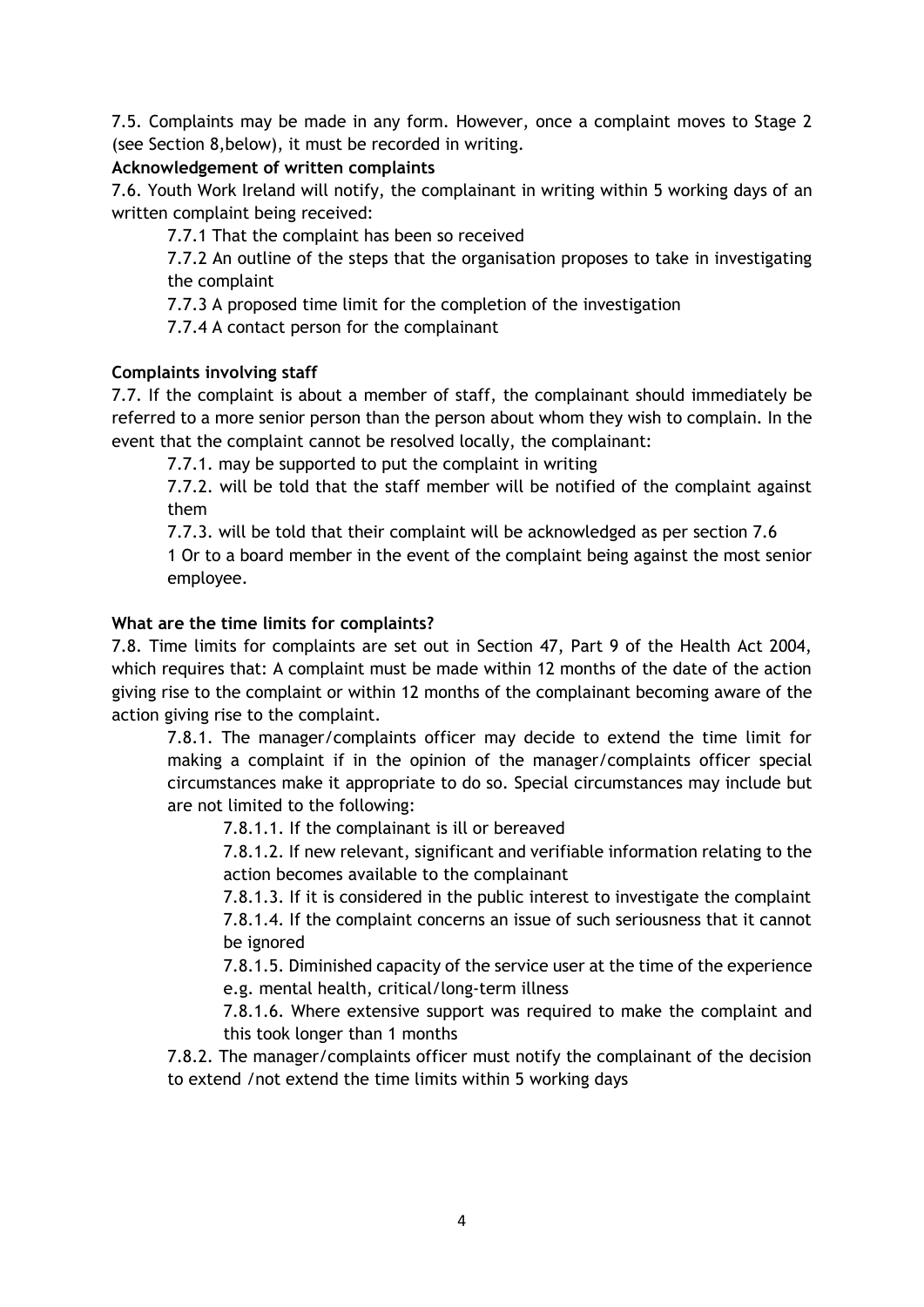7.5. Complaints may be made in any form. However, once a complaint moves to Stage 2 (see Section 8,below), it must be recorded in writing.

# **Acknowledgement of written complaints**

7.6. Youth Work Ireland will notify, the complainant in writing within 5 working days of an written complaint being received:

7.7.1 That the complaint has been so received

7.7.2 An outline of the steps that the organisation proposes to take in investigating the complaint

7.7.3 A proposed time limit for the completion of the investigation

7.7.4 A contact person for the complainant

# **Complaints involving staff**

7.7. If the complaint is about a member of staff, the complainant should immediately be referred to a more senior person than the person about whom they wish to complain. In the event that the complaint cannot be resolved locally, the complainant:

7.7.1. may be supported to put the complaint in writing

7.7.2. will be told that the staff member will be notified of the complaint against them

7.7.3. will be told that their complaint will be acknowledged as per section 7.6

1 Or to a board member in the event of the complaint being against the most senior employee.

# **What are the time limits for complaints?**

7.8. Time limits for complaints are set out in Section 47, Part 9 of the Health Act 2004, which requires that: A complaint must be made within 12 months of the date of the action giving rise to the complaint or within 12 months of the complainant becoming aware of the action giving rise to the complaint.

7.8.1. The manager/complaints officer may decide to extend the time limit for making a complaint if in the opinion of the manager/complaints officer special circumstances make it appropriate to do so. Special circumstances may include but are not limited to the following:

7.8.1.1. If the complainant is ill or bereaved

7.8.1.2. If new relevant, significant and verifiable information relating to the action becomes available to the complainant

7.8.1.3. If it is considered in the public interest to investigate the complaint

7.8.1.4. If the complaint concerns an issue of such seriousness that it cannot be ignored

7.8.1.5. Diminished capacity of the service user at the time of the experience e.g. mental health, critical/long-term illness

7.8.1.6. Where extensive support was required to make the complaint and this took longer than 1 months

7.8.2. The manager/complaints officer must notify the complainant of the decision to extend /not extend the time limits within 5 working days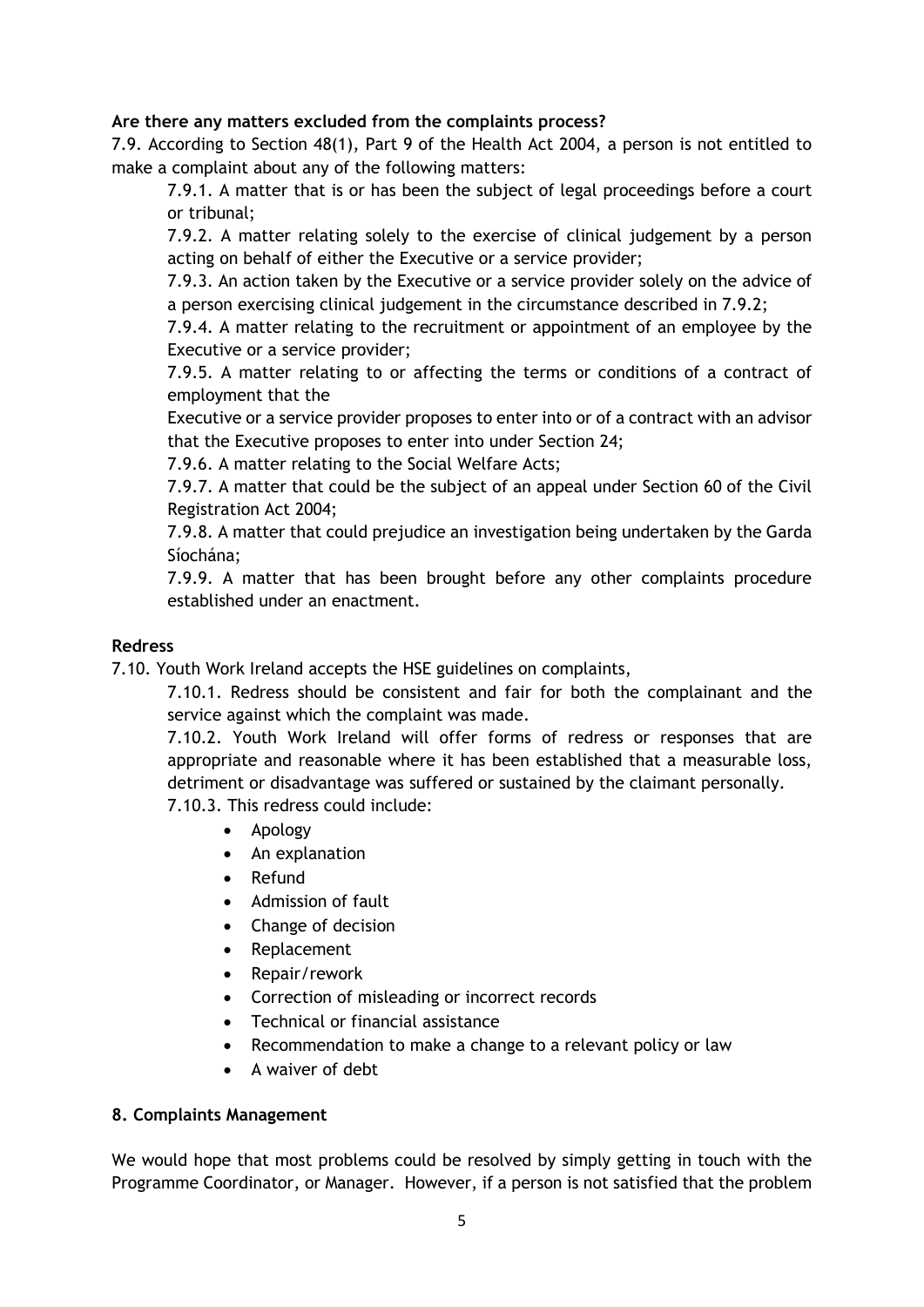# **Are there any matters excluded from the complaints process?**

7.9. According to Section 48(1), Part 9 of the Health Act 2004, a person is not entitled to make a complaint about any of the following matters:

7.9.1. A matter that is or has been the subject of legal proceedings before a court or tribunal;

7.9.2. A matter relating solely to the exercise of clinical judgement by a person acting on behalf of either the Executive or a service provider;

7.9.3. An action taken by the Executive or a service provider solely on the advice of a person exercising clinical judgement in the circumstance described in 7.9.2;

7.9.4. A matter relating to the recruitment or appointment of an employee by the Executive or a service provider;

7.9.5. A matter relating to or affecting the terms or conditions of a contract of employment that the

Executive or a service provider proposes to enter into or of a contract with an advisor that the Executive proposes to enter into under Section 24;

7.9.6. A matter relating to the Social Welfare Acts;

7.9.7. A matter that could be the subject of an appeal under Section 60 of the Civil Registration Act 2004;

7.9.8. A matter that could prejudice an investigation being undertaken by the Garda Síochána;

7.9.9. A matter that has been brought before any other complaints procedure established under an enactment.

## **Redress**

7.10. Youth Work Ireland accepts the HSE guidelines on complaints,

7.10.1. Redress should be consistent and fair for both the complainant and the service against which the complaint was made.

7.10.2. Youth Work Ireland will offer forms of redress or responses that are appropriate and reasonable where it has been established that a measurable loss, detriment or disadvantage was suffered or sustained by the claimant personally.

7.10.3. This redress could include:

- Apology
- An explanation
- Refund
- Admission of fault
- Change of decision
- Replacement
- Repair/rework
- Correction of misleading or incorrect records
- Technical or financial assistance
- Recommendation to make a change to a relevant policy or law
- A waiver of debt

#### **8. Complaints Management**

We would hope that most problems could be resolved by simply getting in touch with the Programme Coordinator, or Manager. However, if a person is not satisfied that the problem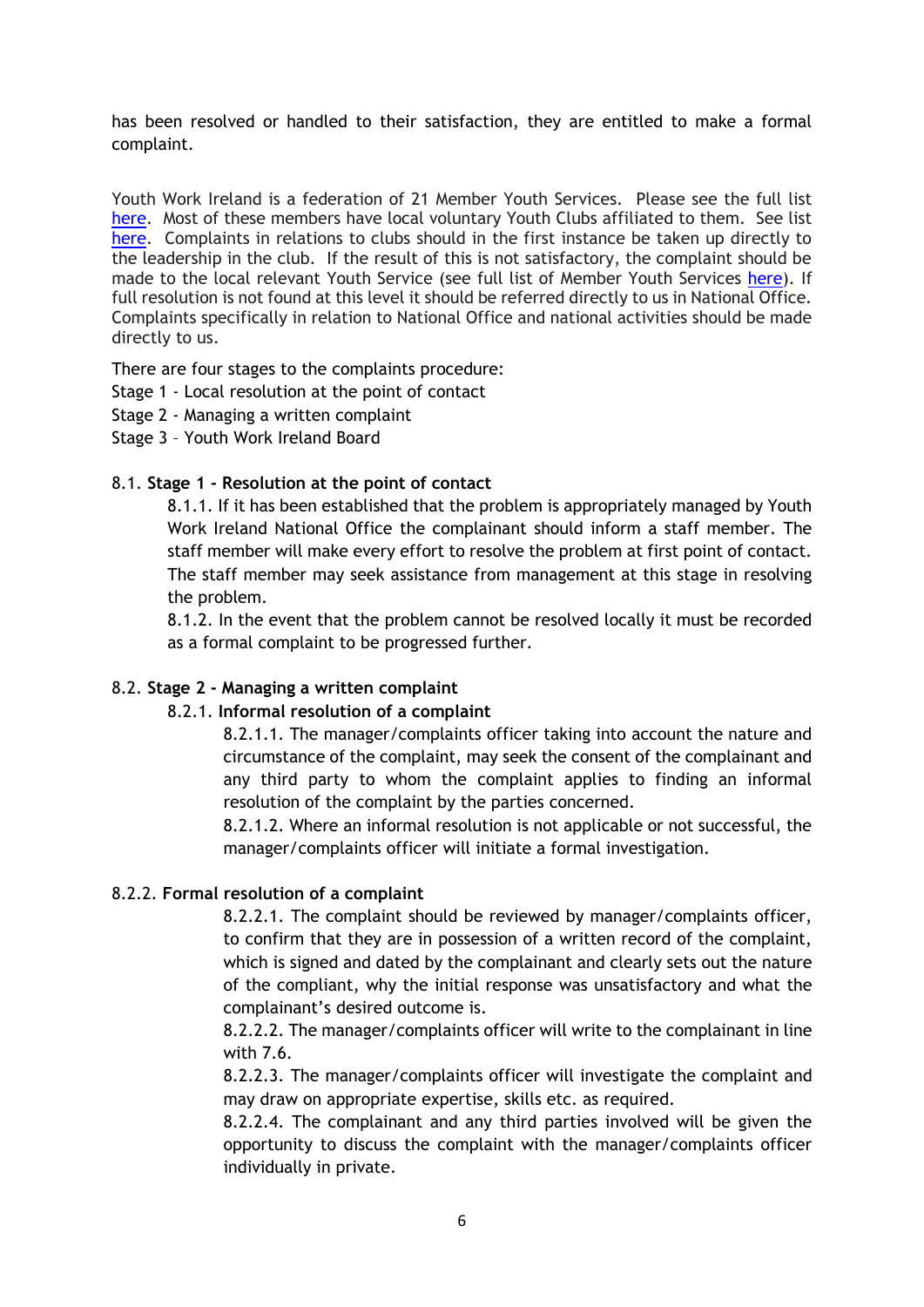has been resolved or handled to their satisfaction, they are entitled to make a formal complaint.

Youth Work Ireland is a federation of 21 Member Youth Services. Please see the full list [here.](http://www.youthworkireland.ie/who-we-are/member-youth-services) Most of these members have local voluntary Youth Clubs affiliated to them. See list [here.](http://www.youthworkireland.ie/who-we-are/find-us/find-your-local-youth-club) Complaints in relations to clubs should in the first instance be taken up directly to the leadership in the club. If the result of this is not satisfactory, the complaint should be made to the local relevant Youth Service (see full list of Member Youth Services [here\)](http://www.youthworkireland.ie/who-we-are/member-youth-services). If full resolution is not found at this level it should be referred directly to us in National Office. Complaints specifically in relation to National Office and national activities should be made directly to us.

There are four stages to the complaints procedure:

- Stage 1 Local resolution at the point of contact
- Stage 2 Managing a written complaint
- Stage 3 Youth Work Ireland Board

# 8.1. **Stage 1 - Resolution at the point of contact**

8.1.1. If it has been established that the problem is appropriately managed by Youth Work Ireland National Office the complainant should inform a staff member. The staff member will make every effort to resolve the problem at first point of contact. The staff member may seek assistance from management at this stage in resolving the problem.

8.1.2. In the event that the problem cannot be resolved locally it must be recorded as a formal complaint to be progressed further.

#### 8.2. **Stage 2 - Managing a written complaint**

#### 8.2.1. **Informal resolution of a complaint**

8.2.1.1. The manager/complaints officer taking into account the nature and circumstance of the complaint, may seek the consent of the complainant and any third party to whom the complaint applies to finding an informal resolution of the complaint by the parties concerned.

8.2.1.2. Where an informal resolution is not applicable or not successful, the manager/complaints officer will initiate a formal investigation.

# 8.2.2. **Formal resolution of a complaint**

8.2.2.1. The complaint should be reviewed by manager/complaints officer, to confirm that they are in possession of a written record of the complaint, which is signed and dated by the complainant and clearly sets out the nature of the compliant, why the initial response was unsatisfactory and what the complainant's desired outcome is.

8.2.2.2. The manager/complaints officer will write to the complainant in line with 7.6.

8.2.2.3. The manager/complaints officer will investigate the complaint and may draw on appropriate expertise, skills etc. as required.

8.2.2.4. The complainant and any third parties involved will be given the opportunity to discuss the complaint with the manager/complaints officer individually in private.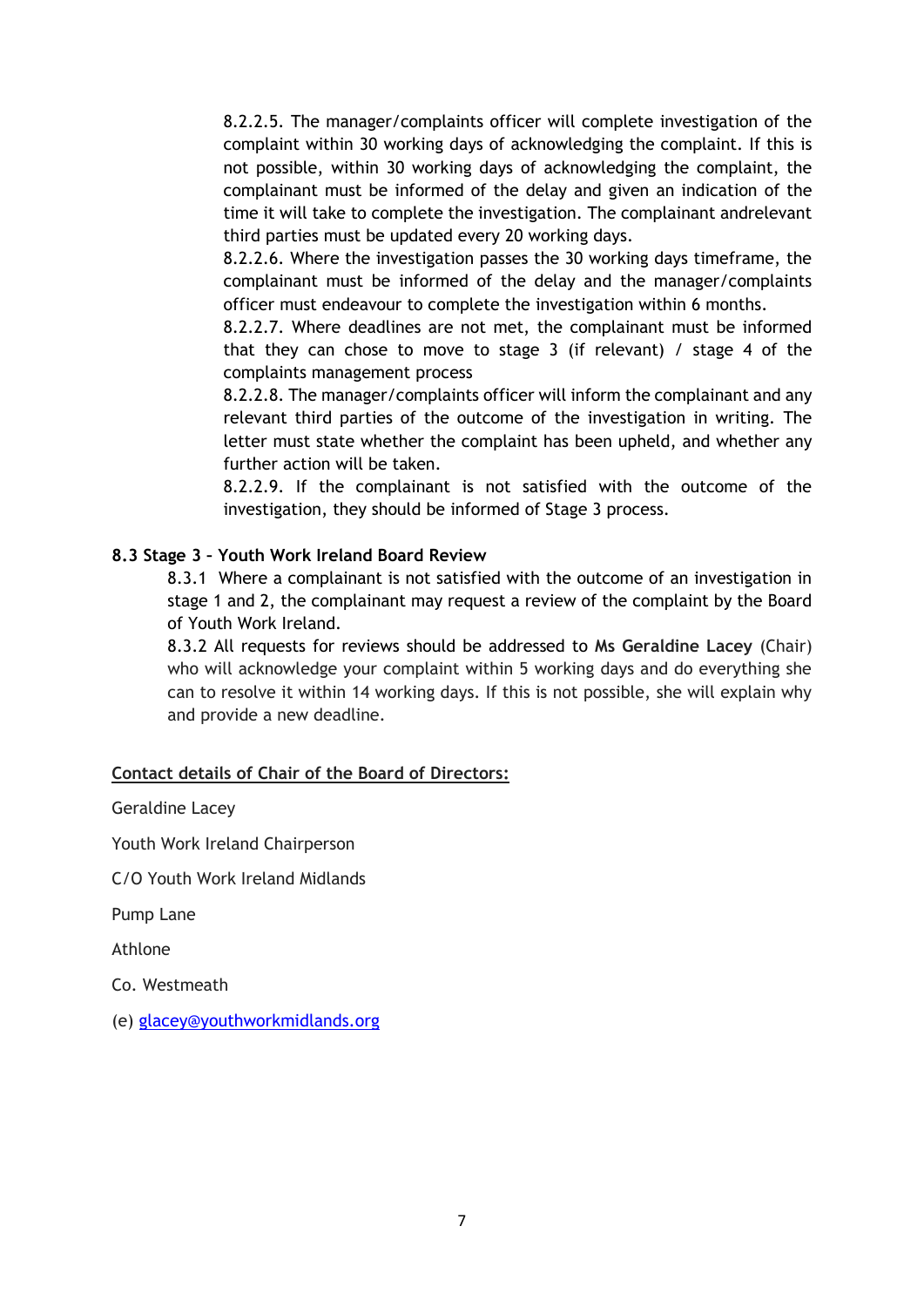8.2.2.5. The manager/complaints officer will complete investigation of the complaint within 30 working days of acknowledging the complaint. If this is not possible, within 30 working days of acknowledging the complaint, the complainant must be informed of the delay and given an indication of the time it will take to complete the investigation. The complainant andrelevant third parties must be updated every 20 working days.

8.2.2.6. Where the investigation passes the 30 working days timeframe, the complainant must be informed of the delay and the manager/complaints officer must endeavour to complete the investigation within 6 months.

8.2.2.7. Where deadlines are not met, the complainant must be informed that they can chose to move to stage 3 (if relevant) / stage 4 of the complaints management process

8.2.2.8. The manager/complaints officer will inform the complainant and any relevant third parties of the outcome of the investigation in writing. The letter must state whether the complaint has been upheld, and whether any further action will be taken.

8.2.2.9. If the complainant is not satisfied with the outcome of the investigation, they should be informed of Stage 3 process.

# **8.3 Stage 3 – Youth Work Ireland Board Review**

8.3.1 Where a complainant is not satisfied with the outcome of an investigation in stage 1 and 2, the complainant may request a review of the complaint by the Board of Youth Work Ireland.

8.3.2 All requests for reviews should be addressed to **Ms Geraldine Lacey** (Chair) who will acknowledge your complaint within 5 working days and do everything she can to resolve it within 14 working days. If this is not possible, she will explain why and provide a new deadline.

#### **Contact details of Chair of the Board of Directors:**

Geraldine Lacey

Youth Work Ireland Chairperson

C/O Youth Work Ireland Midlands

Pump Lane

Athlone

Co. Westmeath

(e) [glacey@youthworkmidlands.org](mailto:glacey@youthworkmidlands.org)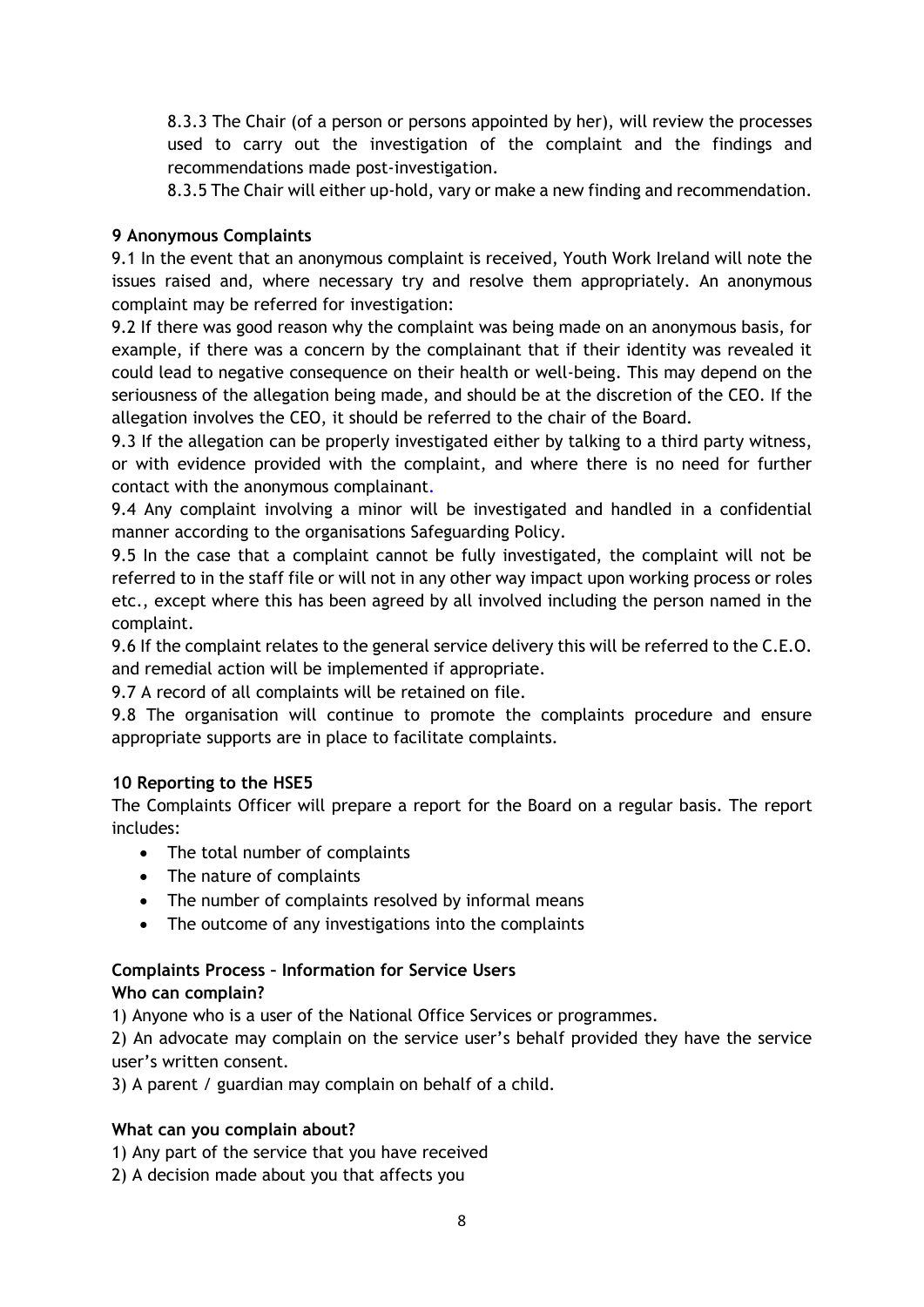8.3.3 The Chair (of a person or persons appointed by her), will review the processes used to carry out the investigation of the complaint and the findings and recommendations made post-investigation.

8.3.5 The Chair will either up-hold, vary or make a new finding and recommendation.

# **9 Anonymous Complaints**

9.1 In the event that an anonymous complaint is received, Youth Work Ireland will note the issues raised and, where necessary try and resolve them appropriately. An anonymous complaint may be referred for investigation:

9.2 If there was good reason why the complaint was being made on an anonymous basis, for example, if there was a concern by the complainant that if their identity was revealed it could lead to negative consequence on their health or well-being. This may depend on the seriousness of the allegation being made, and should be at the discretion of the CEO. If the allegation involves the CEO, it should be referred to the chair of the Board.

9.3 If the allegation can be properly investigated either by talking to a third party witness, or with evidence provided with the complaint, and where there is no need for further contact with the anonymous complainant.

9.4 Any complaint involving a minor will be investigated and handled in a confidential manner according to the organisations Safeguarding Policy.

9.5 In the case that a complaint cannot be fully investigated, the complaint will not be referred to in the staff file or will not in any other way impact upon working process or roles etc., except where this has been agreed by all involved including the person named in the complaint.

9.6 If the complaint relates to the general service delivery this will be referred to the C.E.O. and remedial action will be implemented if appropriate.

9.7 A record of all complaints will be retained on file.

9.8 The organisation will continue to promote the complaints procedure and ensure appropriate supports are in place to facilitate complaints.

# **10 Reporting to the HSE5**

The Complaints Officer will prepare a report for the Board on a regular basis. The report includes:

- The total number of complaints
- The nature of complaints
- The number of complaints resolved by informal means
- The outcome of any investigations into the complaints

## **Complaints Process – Information for Service Users Who can complain?**

1) Anyone who is a user of the National Office Services or programmes.

2) An advocate may complain on the service user's behalf provided they have the service user's written consent.

3) A parent / guardian may complain on behalf of a child.

# **What can you complain about?**

- 1) Any part of the service that you have received
- 2) A decision made about you that affects you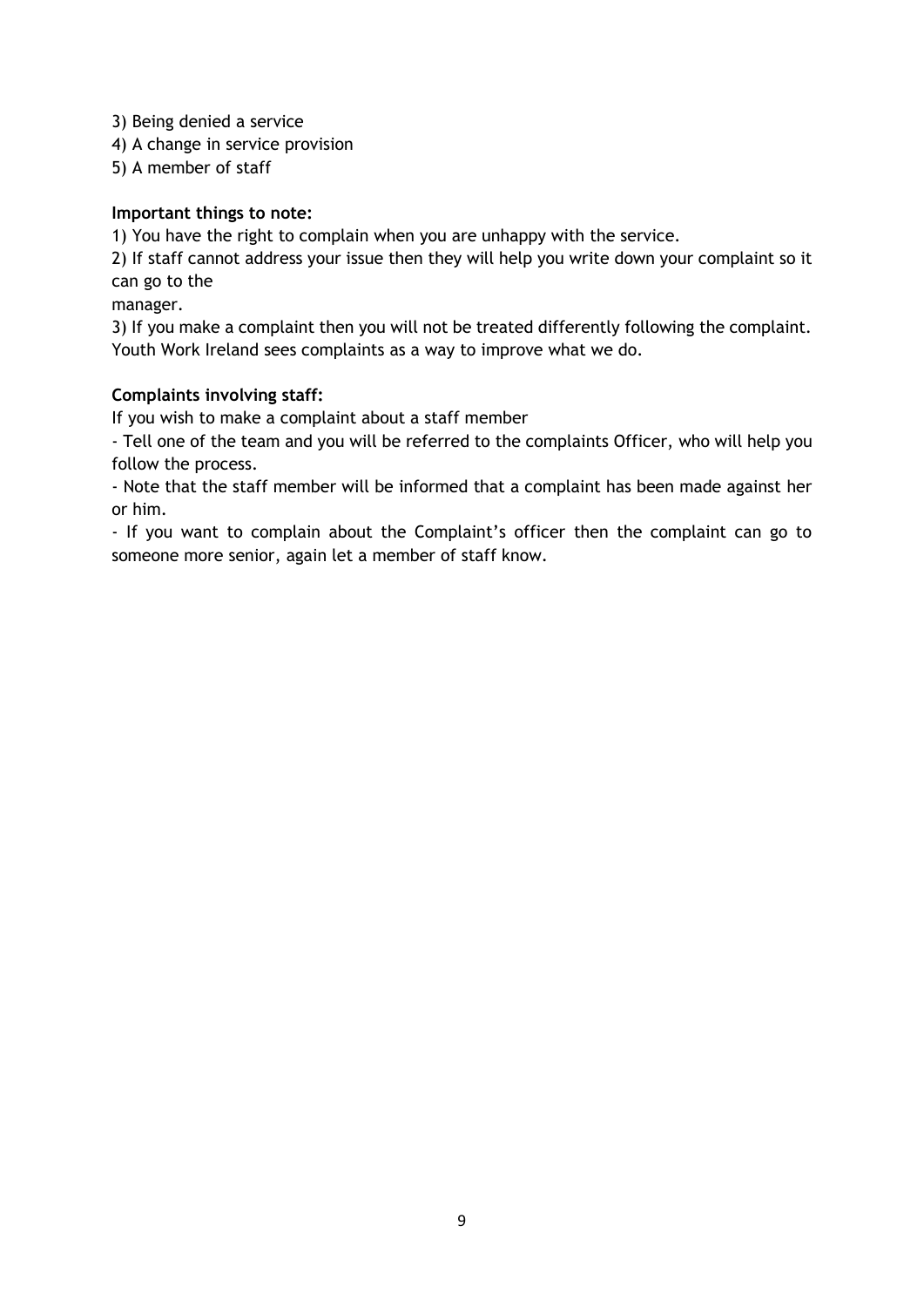3) Being denied a service

4) A change in service provision

5) A member of staff

## **Important things to note:**

1) You have the right to complain when you are unhappy with the service.

2) If staff cannot address your issue then they will help you write down your complaint so it can go to the

manager.

3) If you make a complaint then you will not be treated differently following the complaint. Youth Work Ireland sees complaints as a way to improve what we do.

# **Complaints involving staff:**

If you wish to make a complaint about a staff member

- Tell one of the team and you will be referred to the complaints Officer, who will help you follow the process.

- Note that the staff member will be informed that a complaint has been made against her or him.

- If you want to complain about the Complaint's officer then the complaint can go to someone more senior, again let a member of staff know.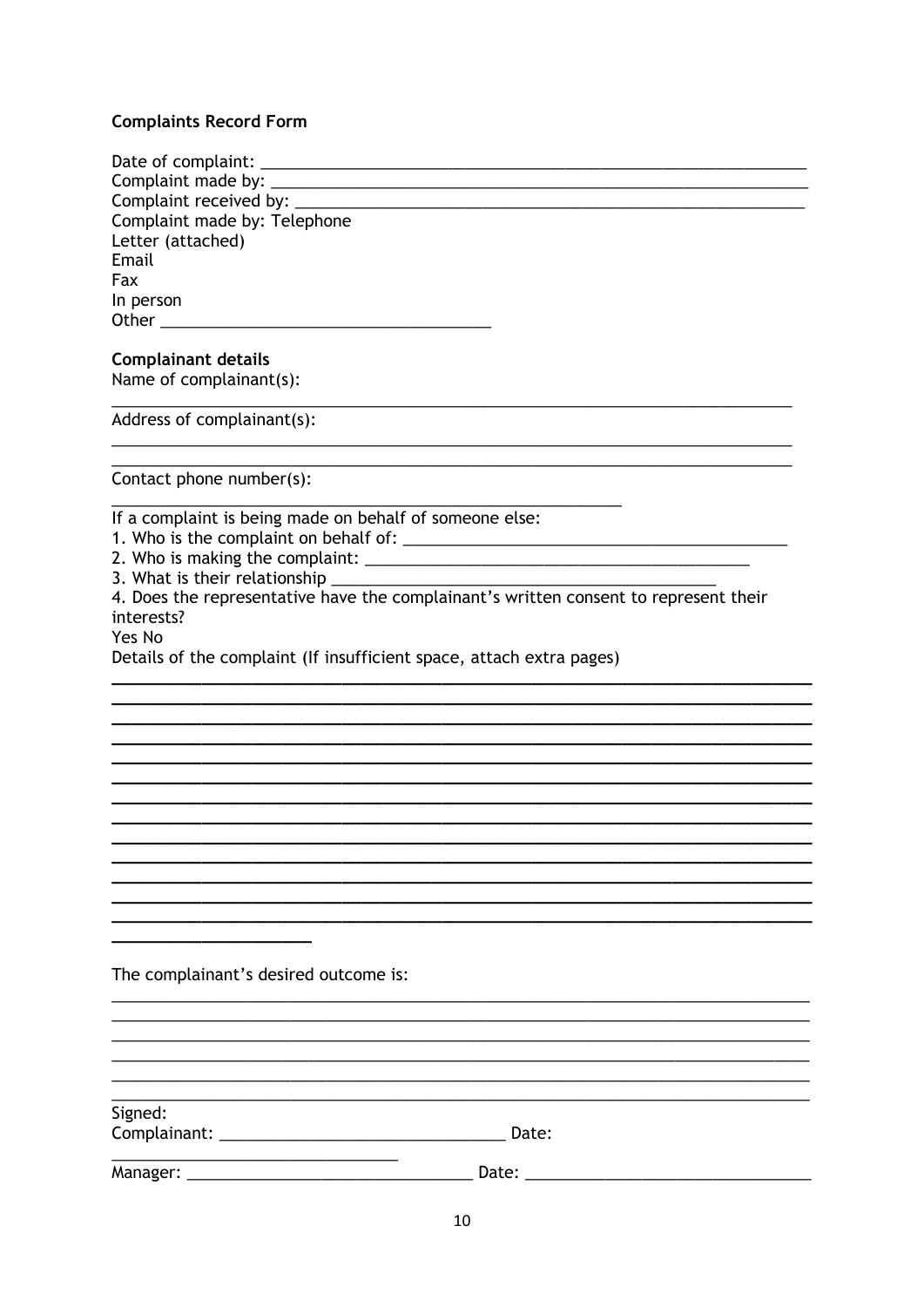#### **Complaints Record Form**

| Complaint made by: Telephone                                                                                                                                                                                                       |
|------------------------------------------------------------------------------------------------------------------------------------------------------------------------------------------------------------------------------------|
| Letter (attached)                                                                                                                                                                                                                  |
| Email                                                                                                                                                                                                                              |
| Fax                                                                                                                                                                                                                                |
| In person                                                                                                                                                                                                                          |
| <b>Other Contract Contract Contract Contract Contract Contract Contract Contract Contract Contract Contract Contract Contract Contract Contract Contract Contract Contract Contract Contract Contract Contract Contract Contra</b> |
| <b>Complainant details</b>                                                                                                                                                                                                         |
| Name of complainant(s):                                                                                                                                                                                                            |
| Address of complainant(s):                                                                                                                                                                                                         |
|                                                                                                                                                                                                                                    |

Contact phone number(s):

If a complaint is being made on behalf of someone else:

3. What is their relationship \_\_\_\_\_

4. Does the representative have the complainant's written consent to represent their interests?

Yes No

Details of the complaint (If insufficient space, attach extra pages)

The complainant's desired outcome is:

Signed: